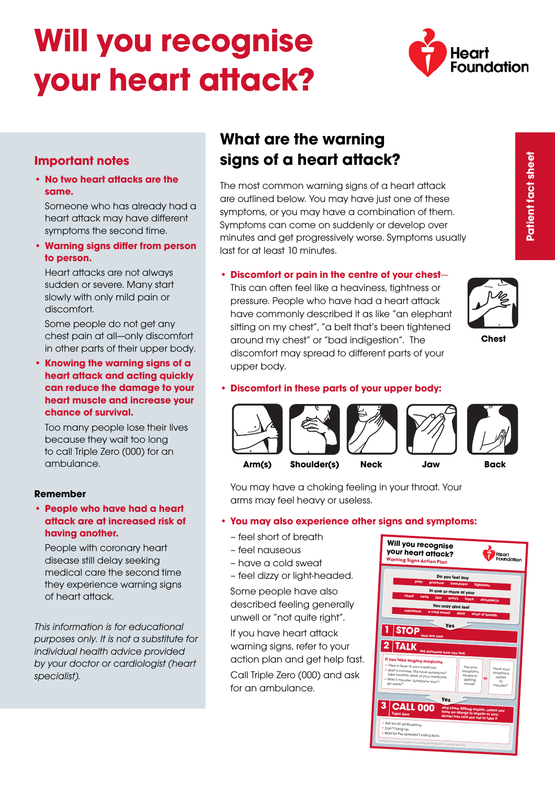# **Will you recognise your heart attack?**



## **Important notes**

**• No two heart attacks are the same.**

Someone who has already had a heart attack may have different symptoms the second time.

**• Warning signs differ from person to person.**

Heart attacks are not always sudden or severe. Many start slowly with only mild pain or discomfort.

Some people do not get any chest pain at all—only discomfort in other parts of their upper body.

**• Knowing the warning signs of a heart attack and acting quickly can reduce the damage to your heart muscle and increase your chance of survival.**

Too many people lose their lives because they wait too long to call Triple Zero (000) for an ambulance.

#### **Remember**

**• People who have had a heart attack are at increased risk of having another.**

People with coronary heart disease still delay seeking medical care the second time they experience warning signs of heart attack.

*This information is for educational purposes only. It is not a substitute for individual health advice provided by your doctor or cardiologist (heart specialist).*

# **What are the warning signs of a heart attack?**

The most common warning signs of a heart attack are outlined below. You may have just one of these symptoms, or you may have a combination of them. Symptoms can come on suddenly or develop over minutes and get progressively worse. Symptoms usually last for at least 10 minutes.

#### **• Discomfort or pain in the centre of your chest**—

This can often feel like a heaviness, tightness or pressure. People who have had a heart attack have commonly described it as like "an elephant sitting on my chest", "a belt that's been tightened around my chest" or "bad indigestion". The discomfort may spread to different parts of your upper body.



**Patient fact sheet**

Patient fact sheet

**Chest**

### **• Discomfort in these parts of your upper body:**



You may have a choking feeling in your throat. Your arms may feel heavy or useless.

#### **• You may also experience other signs and symptoms:**

- feel short of breath
- feel nauseous
- have a cold sweat
- feel dizzy or light-headed.

Some people have also described feeling generally unwell or "not quite right".

If you have heart attack warning signs, refer to your action plan and get help fast.

Call Triple Zero (000) and ask for an ambulance.

| pressure | heaviness                                                                                                                                                                                      |                                                                                                                       |
|----------|------------------------------------------------------------------------------------------------------------------------------------------------------------------------------------------------|-----------------------------------------------------------------------------------------------------------------------|
|          |                                                                                                                                                                                                | tightness                                                                                                             |
| arm/s    | back                                                                                                                                                                                           | shoulder/s                                                                                                            |
|          |                                                                                                                                                                                                |                                                                                                                       |
|          |                                                                                                                                                                                                | short of breath                                                                                                       |
|          |                                                                                                                                                                                                |                                                                                                                       |
|          |                                                                                                                                                                                                |                                                                                                                       |
|          |                                                                                                                                                                                                |                                                                                                                       |
|          |                                                                                                                                                                                                |                                                                                                                       |
|          |                                                                                                                                                                                                |                                                                                                                       |
|          |                                                                                                                                                                                                |                                                                                                                       |
|          | symptoms                                                                                                                                                                                       | Have your<br>symptoms                                                                                                 |
|          |                                                                                                                                                                                                | lasted<br>or                                                                                                          |
|          | worse?                                                                                                                                                                                         | 10 <sub>10</sub><br>minutes?                                                                                          |
|          |                                                                                                                                                                                                |                                                                                                                       |
| Yes      |                                                                                                                                                                                                |                                                                                                                       |
|          |                                                                                                                                                                                                | and chew 300mg aspirin, unless you                                                                                    |
|          | jaw<br>a cold sweat<br>Yes<br>and rest now<br>If you take angina medicine<br>. Wait 5 minutes. Still have symptoms?<br>Take another dose of your medicine.<br>. Wait 5 minutes. Symptoms won't | In one or more of your<br>You may also feel<br>dizzy<br>tell someone how you feel<br>Are your<br>severe or<br>getting |